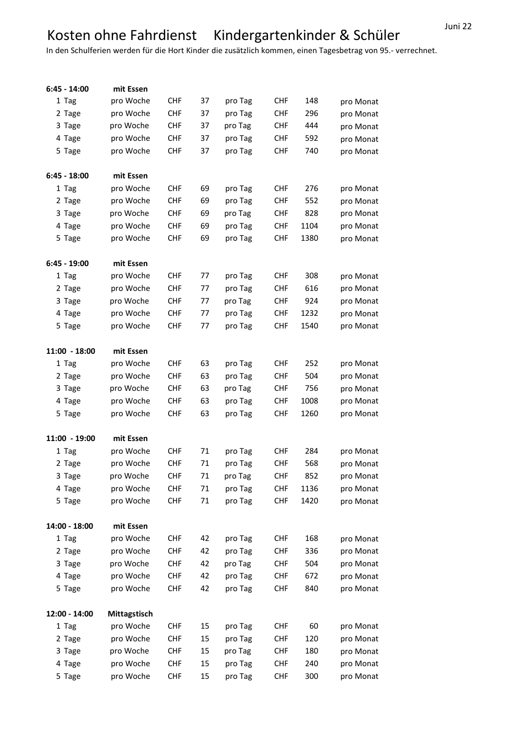## Juni 22 Kosten ohne Fahrdienst Kindergartenkinder & Schüler

In den Schulferien werden für die Hort Kinder die zusätzlich kommen, einen Tagesbetrag von 95.- verrechnet.

| $6:45 - 14:00$  | mit Essen    |            |    |         |            |      |           |
|-----------------|--------------|------------|----|---------|------------|------|-----------|
| 1 Tag           | pro Woche    | <b>CHF</b> | 37 | pro Tag | <b>CHF</b> | 148  | pro Monat |
| 2 Tage          | pro Woche    | <b>CHF</b> | 37 | pro Tag | <b>CHF</b> | 296  | pro Monat |
| 3 Tage          | pro Woche    | <b>CHF</b> | 37 | pro Tag | <b>CHF</b> | 444  | pro Monat |
| 4 Tage          | pro Woche    | <b>CHF</b> | 37 | pro Tag | <b>CHF</b> | 592  | pro Monat |
| 5 Tage          | pro Woche    | <b>CHF</b> | 37 | pro Tag | <b>CHF</b> | 740  | pro Monat |
|                 |              |            |    |         |            |      |           |
| $6:45 - 18:00$  | mit Essen    |            |    |         |            |      |           |
| 1 Tag           | pro Woche    | <b>CHF</b> | 69 | pro Tag | <b>CHF</b> | 276  | pro Monat |
| 2 Tage          | pro Woche    | <b>CHF</b> | 69 | pro Tag | <b>CHF</b> | 552  | pro Monat |
| 3 Tage          | pro Woche    | <b>CHF</b> | 69 | pro Tag | <b>CHF</b> | 828  | pro Monat |
| 4 Tage          | pro Woche    | <b>CHF</b> | 69 | pro Tag | <b>CHF</b> | 1104 | pro Monat |
| 5 Tage          | pro Woche    | <b>CHF</b> | 69 | pro Tag | <b>CHF</b> | 1380 | pro Monat |
|                 |              |            |    |         |            |      |           |
| $6:45 - 19:00$  | mit Essen    |            |    |         |            |      |           |
| 1 Tag           | pro Woche    | <b>CHF</b> | 77 | pro Tag | <b>CHF</b> | 308  | pro Monat |
| 2 Tage          | pro Woche    | <b>CHF</b> | 77 | pro Tag | <b>CHF</b> | 616  | pro Monat |
| 3 Tage          | pro Woche    | <b>CHF</b> | 77 | pro Tag | <b>CHF</b> | 924  | pro Monat |
| 4 Tage          | pro Woche    | <b>CHF</b> | 77 | pro Tag | <b>CHF</b> | 1232 | pro Monat |
| 5 Tage          | pro Woche    | <b>CHF</b> | 77 | pro Tag | <b>CHF</b> | 1540 | pro Monat |
|                 |              |            |    |         |            |      |           |
| $11:00 - 18:00$ | mit Essen    |            |    |         |            |      |           |
| 1 Tag           | pro Woche    | <b>CHF</b> | 63 | pro Tag | <b>CHF</b> | 252  | pro Monat |
| 2 Tage          | pro Woche    | <b>CHF</b> | 63 | pro Tag | <b>CHF</b> | 504  | pro Monat |
| 3 Tage          | pro Woche    | <b>CHF</b> | 63 | pro Tag | <b>CHF</b> | 756  | pro Monat |
| 4 Tage          | pro Woche    | <b>CHF</b> | 63 | pro Tag | <b>CHF</b> | 1008 | pro Monat |
| 5 Tage          | pro Woche    | <b>CHF</b> | 63 | pro Tag | <b>CHF</b> | 1260 | pro Monat |
|                 |              |            |    |         |            |      |           |
| 11:00 - 19:00   | mit Essen    |            |    |         |            |      |           |
| 1 Tag           | pro Woche    | <b>CHF</b> | 71 | pro Tag | <b>CHF</b> | 284  | pro Monat |
| 2 Tage          | pro Woche    | <b>CHF</b> | 71 | pro Tag | <b>CHF</b> | 568  | pro Monat |
| 3 Tage          | pro Woche    | <b>CHF</b> | 71 | pro Tag | <b>CHF</b> | 852  | pro Monat |
| 4 Tage          | pro Woche    | <b>CHF</b> | 71 | pro Tag | <b>CHF</b> | 1136 | pro Monat |
| 5 Tage          | pro Woche    | <b>CHF</b> | 71 | pro Tag | <b>CHF</b> | 1420 | pro Monat |
|                 |              |            |    |         |            |      |           |
| 14:00 - 18:00   | mit Essen    |            |    |         |            |      |           |
| 1 Tag           | pro Woche    | <b>CHF</b> | 42 | pro Tag | <b>CHF</b> | 168  | pro Monat |
| 2 Tage          | pro Woche    | <b>CHF</b> | 42 | pro Tag | <b>CHF</b> | 336  | pro Monat |
| 3 Tage          | pro Woche    | <b>CHF</b> | 42 | pro Tag | <b>CHF</b> | 504  | pro Monat |
| 4 Tage          | pro Woche    | <b>CHF</b> | 42 | pro Tag | <b>CHF</b> | 672  | pro Monat |
| 5 Tage          | pro Woche    | <b>CHF</b> | 42 | pro Tag | <b>CHF</b> | 840  | pro Monat |
|                 |              |            |    |         |            |      |           |
| 12:00 - 14:00   | Mittagstisch |            |    |         |            |      |           |
| 1 Tag           | pro Woche    | <b>CHF</b> | 15 | pro Tag | <b>CHF</b> | 60   | pro Monat |
| 2 Tage          | pro Woche    | <b>CHF</b> | 15 | pro Tag | <b>CHF</b> | 120  | pro Monat |
| 3 Tage          | pro Woche    | <b>CHF</b> | 15 | pro Tag | <b>CHF</b> | 180  | pro Monat |
| 4 Tage          | pro Woche    | <b>CHF</b> | 15 | pro Tag | <b>CHF</b> | 240  | pro Monat |
| 5 Tage          | pro Woche    | <b>CHF</b> | 15 | pro Tag | <b>CHF</b> | 300  | pro Monat |
|                 |              |            |    |         |            |      |           |